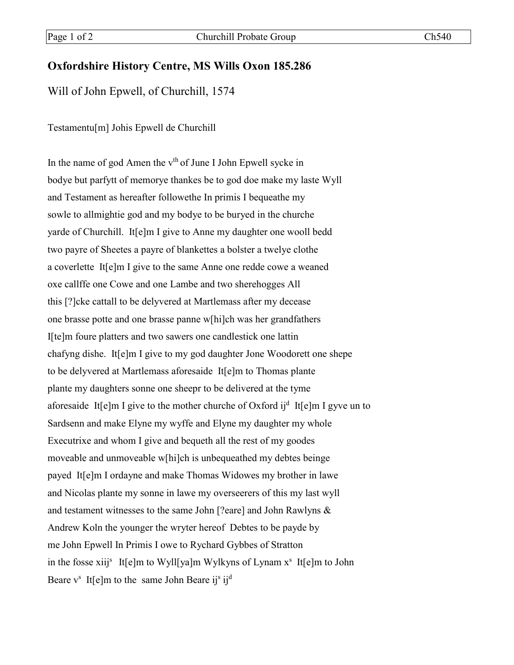## **Oxfordshire History Centre, MS Wills Oxon 185.286**

Will of John Epwell, of Churchill, 1574

Testamentu[m] Johis Epwell de Churchill

In the name of god Amen the  $v<sup>th</sup>$  of June I John Epwell sycke in bodye but parfytt of memorye thankes be to god doe make my laste Wyll and Testament as hereafter followethe In primis I bequeathe my sowle to allmightie god and my bodye to be buryed in the churche yarde of Churchill. It[e]m I give to Anne my daughter one wooll bedd two payre of Sheetes a payre of blankettes a bolster a twelye clothe a coverlette It[e]m I give to the same Anne one redde cowe a weaned oxe callffe one Cowe and one Lambe and two sherehogges All this [?]cke cattall to be delyvered at Martlemass after my decease one brasse potte and one brasse panne w[hi]ch was her grandfathers I[te]m foure platters and two sawers one candlestick one lattin chafyng dishe. It[e]m I give to my god daughter Jone Woodorett one shepe to be delyvered at Martlemass aforesaide It[e]m to Thomas plante plante my daughters sonne one sheepr to be delivered at the tyme aforesaide It[e]m I give to the mother churche of Oxford ij<sup>d</sup> It[e]m I gyve un to Sardsenn and make Elyne my wyffe and Elyne my daughter my whole Executrixe and whom I give and bequeth all the rest of my goodes moveable and unmoveable w[hi]ch is unbequeathed my debtes beinge payed It[e]m I ordayne and make Thomas Widowes my brother in lawe and Nicolas plante my sonne in lawe my overseerers of this my last wyll and testament witnesses to the same John [?eare] and John Rawlyns & Andrew Koln the younger the wryter hereof Debtes to be payde by me John Epwell In Primis I owe to Rychard Gybbes of Stratton in the fosse xiij<sup>s</sup> It[e]m to Wyll[ya]m Wylkyns of Lynam  $x<sup>s</sup>$  It[e]m to John Beare  $v^s$  It[e]m to the same John Beare ij<sup>s</sup> ij<sup>d</sup>